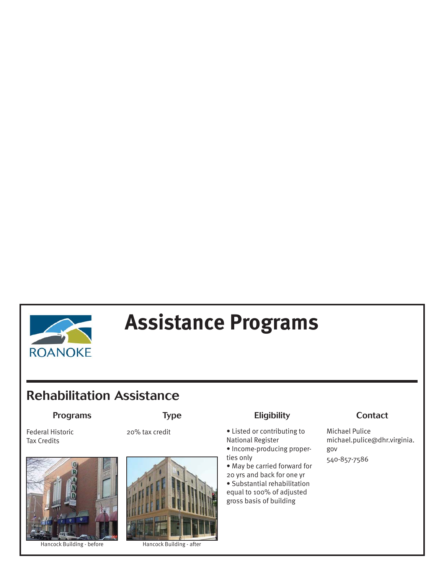

# **Assistance Programs**

## **Rehabilitation Assistance**

Federal Historic Tax Credits



Hancock Building - before Hancock Building - after



### Programs Type Eligibility Contact

- 20% tax credit Listed or contributing to National Register
	- Income-producing properties only
	- May be carried forward for 20 yrs and back for one yr
	- Substantial rehabilitation equal to 100% of adjusted gross basis of building

Michael Pulice michael.pulice@dhr.virginia. gov 540-857-7586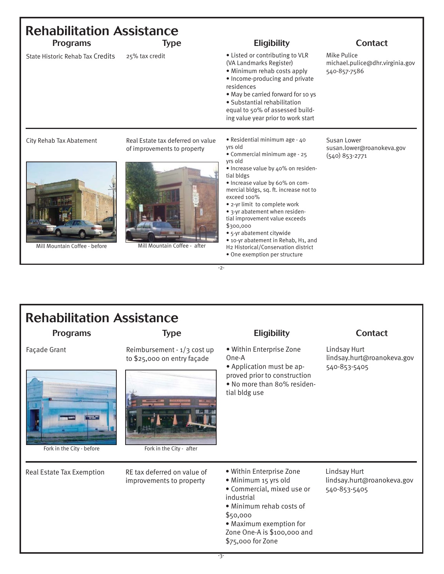| <b>Rehabilitation Assistance</b><br><b>Programs</b>       |                                                                                                  | <b>Eligibility</b>                                                                                                                                                                                                                                                                                                                                                                                                                                                                                   | <b>Contact</b>                                                 |
|-----------------------------------------------------------|--------------------------------------------------------------------------------------------------|------------------------------------------------------------------------------------------------------------------------------------------------------------------------------------------------------------------------------------------------------------------------------------------------------------------------------------------------------------------------------------------------------------------------------------------------------------------------------------------------------|----------------------------------------------------------------|
| State Historic Rehab Tax Credits                          | <b>Type</b><br>25% tax credit                                                                    | • Listed or contributing to VLR<br>(VA Landmarks Register)<br>• Minimum rehab costs apply<br>• Income-producing and private<br>residences<br>. May be carried forward for 10 ys<br>• Substantial rehabilitation<br>equal to 50% of assessed build-<br>ing value year prior to work start                                                                                                                                                                                                             | Mike Pulice<br>michael.pulice@dhr.virginia.gov<br>540-857-7586 |
| City Rehab Tax Abatement<br>Mill Mountain Coffee - before | Real Estate tax deferred on value<br>of improvements to property<br>Mill Mountain Coffee - after | • Residential minimum age - 40<br>yrs old<br>• Commercial minimum age - 25<br>yrs old<br>• Increase value by 40% on residen-<br>tial bldgs<br>· Increase value by 60% on com-<br>mercial bldgs, sq. ft. increase not to<br>exceed 100%<br>• 2-yr limit to complete work<br>• 3-yr abatement when residen-<br>tial improvement value exceeds<br>\$300,000<br>• 5-yr abatement citywide<br>• 10-yr abatement in Rehab, H1, and<br>H2 Historical/Conservation district<br>• One exemption per structure | Susan Lower<br>susan.lower@roanokeva.gov<br>$(540)$ 853-2771   |

-2-

## **Rehabilitation Assistance**



Fork in the City - before Fork in the City - after

Façade Grant Reimbursement - 1/3 cost up to \$25,000 on entry façade



• Within Enterprise Zone One-A • Application must be ap-

proved prior to construction • No more than 80% residential bldg use

### Programs Type Eligibility Contact

Lindsay Hurt lindsay.hurt@roanokeva.gov 540-853-5405

• Within Enterprise Zone • Minimum 15 yrs old • Commercial, mixed use or industrial • Minimum rehab costs of \$50,000 • Maximum exemption for

Zone One-A is \$100,000 and \$75,000 for Zone

Lindsay Hurt lindsay.hurt@roanokeva.gov 540-853-5405

Real Estate Tax Exemption RE tax deferred on value of improvements to property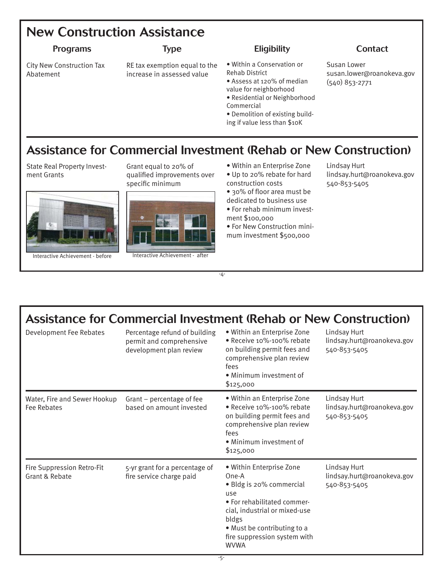### **New Construction Assistance**

### Programs Type Eligibility Contact

City New Construction Tax Abatement

RE tax exemption equal to the increase in assessed value

- Within a Conservation or Rehab District
- Assess at 120% of median value for neighborhood
- Residential or Neighborhood
- Commercial
- Demolition of existing building if value less than \$10K

Susan Lower susan.lower@roanokeva.gov (540) 853-2771

### **Assistance for Commercial Investment (Rehab or New Construction)**

State Real Property Investment Grants





qualified improvements over specific minimum



Interactive Achievement - before Interactive Achievement - after

- Within an Enterprise Zone • Up to 20% rebate for hard
- construction costs • 30% of floor area must be
- dedicated to business use
- For rehab minimum investment \$100,000
- For New Construction minimum investment \$500,000

Lindsay Hurt lindsay.hurt@roanokeva.gov 540-853-5405

## **Assistance for Commercial Investment (Rehab or New Construction)**

-4-

| Development Fee Rebates                      | Percentage refund of building<br>permit and comprehensive<br>development plan review | • Within an Enterprise Zone<br>• Receive 10%-100% rebate<br>on building permit fees and<br>comprehensive plan review<br>fees<br>• Minimum investment of<br>\$125,000                                                        | Lindsay Hurt<br>lindsay.hurt@roanokeva.gov<br>540-853-5405 |
|----------------------------------------------|--------------------------------------------------------------------------------------|-----------------------------------------------------------------------------------------------------------------------------------------------------------------------------------------------------------------------------|------------------------------------------------------------|
| Water, Fire and Sewer Hookup<br>Fee Rebates  | Grant - percentage of fee<br>based on amount invested                                | • Within an Enterprise Zone<br>• Receive 10%-100% rebate<br>on building permit fees and<br>comprehensive plan review<br>fees<br>• Minimum investment of<br>\$125,000                                                        | Lindsay Hurt<br>lindsay.hurt@roanokeva.gov<br>540-853-5405 |
| Fire Suppression Retro-Fit<br>Grant & Rebate | 5-yr grant for a percentage of<br>fire service charge paid                           | • Within Enterprise Zone<br>One-A<br>• Bldg is 20% commercial<br>use<br>• For rehabilitated commer-<br>cial, industrial or mixed-use<br>bldgs<br>• Must be contributing to a<br>fire suppression system with<br><b>WVWA</b> | Lindsay Hurt<br>lindsay.hurt@roanokeva.gov<br>540-853-5405 |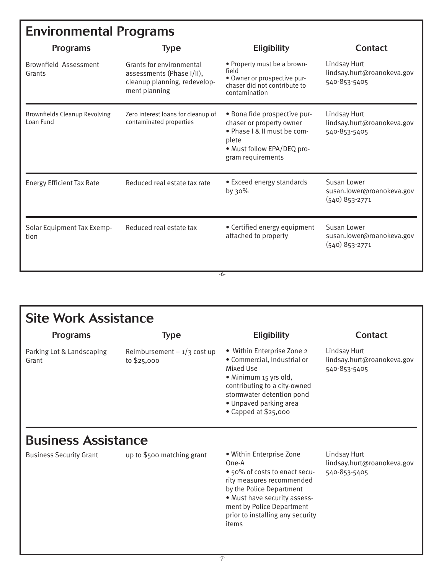## **Environmental Programs**

| <b>Programs</b>                                   | <b>Type</b>                                                                                            | <b>Eligibility</b>                                                                                                                                  | <b>Contact</b>                                               |
|---------------------------------------------------|--------------------------------------------------------------------------------------------------------|-----------------------------------------------------------------------------------------------------------------------------------------------------|--------------------------------------------------------------|
| Brownfield Assessment<br>Grants                   | Grants for environmental<br>assessments (Phase I/II),<br>cleanup planning, redevelop-<br>ment planning | • Property must be a brown-<br>field<br>· Owner or prospective pur-<br>chaser did not contribute to<br>contamination                                | Lindsay Hurt<br>lindsay.hurt@roanokeva.gov<br>540-853-5405   |
| <b>Brownfields Cleanup Revolving</b><br>Loan Fund | Zero interest loans for cleanup of<br>contaminated properties                                          | • Bona fide prospective pur-<br>chaser or property owner<br>• Phase   & II must be com-<br>plete<br>• Must follow EPA/DEQ pro-<br>gram requirements | Lindsay Hurt<br>lindsay.hurt@roanokeva.gov<br>540-853-5405   |
| <b>Energy Efficient Tax Rate</b>                  | Reduced real estate tax rate                                                                           | • Exceed energy standards<br>by 30%                                                                                                                 | Susan Lower<br>susan.lower@roanokeva.gov<br>$(540)$ 853-2771 |
| Solar Equipment Tax Exemp-<br>tion                | Reduced real estate tax                                                                                | • Certified energy equipment<br>attached to property                                                                                                | Susan Lower<br>susan.lower@roanokeva.gov<br>$(540)$ 853-2771 |
|                                                   |                                                                                                        | -6-                                                                                                                                                 |                                                              |

-6-

| <b>Site Work Assistance</b>        |                                             |                                                                                                                                                                                                                              |                                                            |
|------------------------------------|---------------------------------------------|------------------------------------------------------------------------------------------------------------------------------------------------------------------------------------------------------------------------------|------------------------------------------------------------|
| <b>Programs</b>                    | <b>Type</b>                                 | <b>Eligibility</b>                                                                                                                                                                                                           | <b>Contact</b>                                             |
| Parking Lot & Landscaping<br>Grant | Reimbursement $-1/3$ cost up<br>to \$25,000 | • Within Enterprise Zone 2<br>• Commercial, Industrial or<br>Mixed Use<br>• Minimum 15 yrs old,<br>contributing to a city-owned<br>stormwater detention pond<br>· Unpaved parking area<br>$\bullet$ Capped at \$25,000       | Lindsay Hurt<br>lindsay.hurt@roanokeva.gov<br>540-853-5405 |
| <b>Business Assistance</b>         |                                             |                                                                                                                                                                                                                              |                                                            |
| <b>Business Security Grant</b>     | up to \$500 matching grant                  | • Within Enterprise Zone<br>One-A<br>• 50% of costs to enact secu-<br>rity measures recommended<br>by the Police Department<br>. Must have security assess-<br>ment by Police Department<br>prior to installing any security | Lindsay Hurt<br>lindsay.hurt@roanokeva.gov<br>540-853-5405 |

items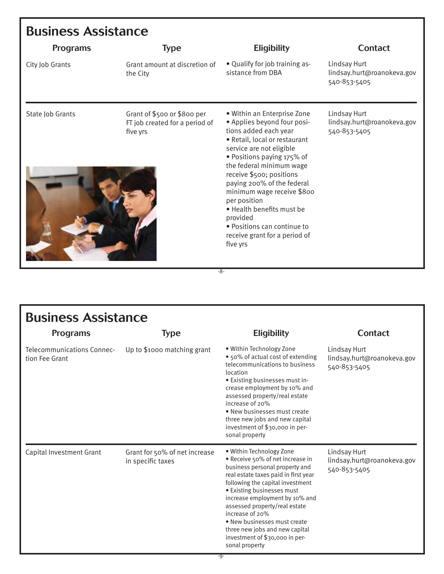| <b>Business Assistance</b> |                                                                           |                                                                                                                                                                                                                                                                                                                                                                                                                                         |                                                            |
|----------------------------|---------------------------------------------------------------------------|-----------------------------------------------------------------------------------------------------------------------------------------------------------------------------------------------------------------------------------------------------------------------------------------------------------------------------------------------------------------------------------------------------------------------------------------|------------------------------------------------------------|
| <b>Programs</b>            | <b>Type</b>                                                               | <b>Eligibility</b>                                                                                                                                                                                                                                                                                                                                                                                                                      | <b>Contact</b>                                             |
| City Job Grants            | Grant amount at discretion of<br>the City                                 | • Qualify for job training as-<br>sistance from DBA                                                                                                                                                                                                                                                                                                                                                                                     | Lindsay Hurt<br>lindsay.hurt@roanokeva.gov<br>540-853-5405 |
| State Job Grants           | Grant of \$500 or \$800 per<br>FT job created for a period of<br>five yrs | • Within an Enterprise Zone<br>• Applies beyond four posi-<br>tions added each year<br>• Retail, local or restaurant<br>service are not eligible<br>• Positions paying 175% of<br>the federal minimum wage<br>receive \$500; positions<br>paying 200% of the federal<br>minimum wage receive \$800<br>per position<br>. Health benefits must be<br>provided<br>• Positions can continue to<br>receive grant for a period of<br>five yrs | Lindsay Hurt<br>lindsay.hurt@roanokeva.gov<br>540-853-5405 |

-8-

| <b>Business Assistance</b>                   |                                                    |                                                                                                                                                                                                                                                                                                                                                                                                                      |                                                            |  |
|----------------------------------------------|----------------------------------------------------|----------------------------------------------------------------------------------------------------------------------------------------------------------------------------------------------------------------------------------------------------------------------------------------------------------------------------------------------------------------------------------------------------------------------|------------------------------------------------------------|--|
| <b>Programs</b>                              | <b>Type</b>                                        | <b>Eligibility</b>                                                                                                                                                                                                                                                                                                                                                                                                   | <b>Contact</b>                                             |  |
| Telecommunications Connec-<br>tion Fee Grant | Up to \$1000 matching grant                        | • Within Technology Zone<br>• 50% of actual cost of extending<br>telecommunications to business<br>location<br>• Existing businesses must in-<br>crease employment by 10% and<br>assessed property/real estate<br>increase of 20%<br>• New businesses must create<br>three new jobs and new capital<br>investment of \$30,000 in per-<br>sonal property                                                              | Lindsay Hurt<br>lindsay.hurt@roanokeva.gov<br>540-853-5405 |  |
| Capital Investment Grant                     | Grant for 50% of net increase<br>in specific taxes | • Within Technology Zone<br>• Receive 50% of net increase in<br>business personal property and<br>real estate taxes paid in first year<br>following the capital investment<br>• Existing businesses must<br>increase employment by 10% and<br>assessed property/real estate<br>increase of 20%<br>• New businesses must create<br>three new jobs and new capital<br>investment of \$30,000 in per-<br>sonal property | Lindsay Hurt<br>lindsay.hurt@roanokeva.gov<br>540-853-5405 |  |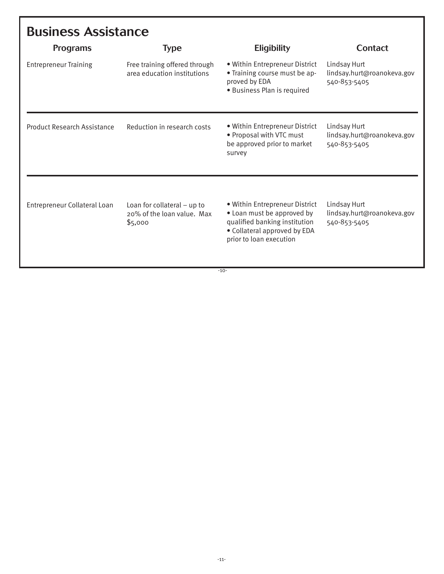| <b>Business Assistance</b>   |                                                                        |                                                                                                                                                          |                                                            |  |
|------------------------------|------------------------------------------------------------------------|----------------------------------------------------------------------------------------------------------------------------------------------------------|------------------------------------------------------------|--|
| <b>Programs</b>              | <b>Type</b>                                                            | <b>Eligibility</b>                                                                                                                                       | Contact                                                    |  |
| <b>Entrepreneur Training</b> | Free training offered through<br>area education institutions           | . Within Entrepreneur District<br>• Training course must be ap-<br>proved by EDA<br>· Business Plan is required                                          | Lindsay Hurt<br>lindsay.hurt@roanokeva.gov<br>540-853-5405 |  |
| Product Research Assistance  | Reduction in research costs                                            | · Within Entrepreneur District<br>· Proposal with VTC must<br>be approved prior to market<br>survey                                                      | Lindsay Hurt<br>lindsay.hurt@roanokeva.gov<br>540-853-5405 |  |
| Entrepreneur Collateral Loan | Loan for collateral $-$ up to<br>20% of the loan value. Max<br>\$5,000 | . Within Entrepreneur District<br>• Loan must be approved by<br>qualified banking institution<br>• Collateral approved by EDA<br>prior to loan execution | Lindsay Hurt<br>lindsay.hurt@roanokeva.gov<br>540-853-5405 |  |

-10-